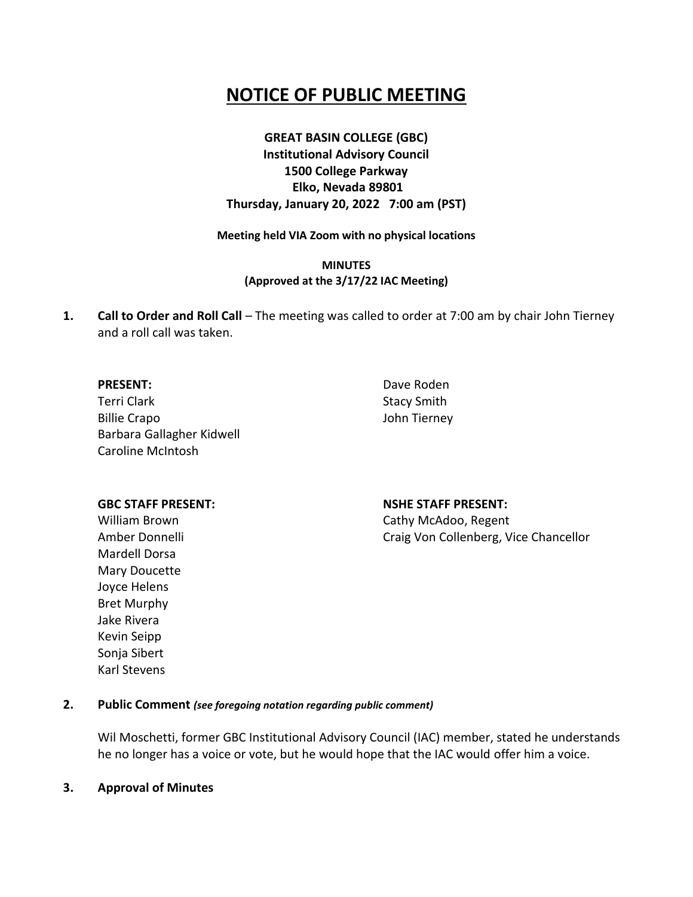# **NOTICE OF PUBLIC MEETING**

# **GREAT BASIN COLLEGE (GBC) Institutional Advisory Council 1500 College Parkway Elko, Nevada 89801 Thursday, January 20, 2022 7:00 am (PST)**

**Meeting held VIA Zoom with no physical locations**

## **MINUTES (Approved at the 3/17/22 IAC Meeting)**

**1. Call to Order and Roll Call** – The meeting was called to order at 7:00 am by chair John Tierney and a roll call was taken.

#### **PRESENT:**

Terri Clark Billie Crapo Barbara Gallagher Kidwell Caroline McIntosh

Dave Roden Stacy Smith John Tierney

#### **GBC STAFF PRESENT:**

William Brown Amber Donnelli Mardell Dorsa Mary Doucette Joyce Helens Bret Murphy Jake Rivera Kevin Seipp Sonja Sibert Karl Stevens

#### **NSHE STAFF PRESENT:**

Cathy McAdoo, Regent Craig Von Collenberg, Vice Chancellor

## **2. Public Comment** *(see foregoing notation regarding public comment)*

Wil Moschetti, former GBC Institutional Advisory Council (IAC) member, stated he understands he no longer has a voice or vote, but he would hope that the IAC would offer him a voice.

#### **3. Approval of Minutes**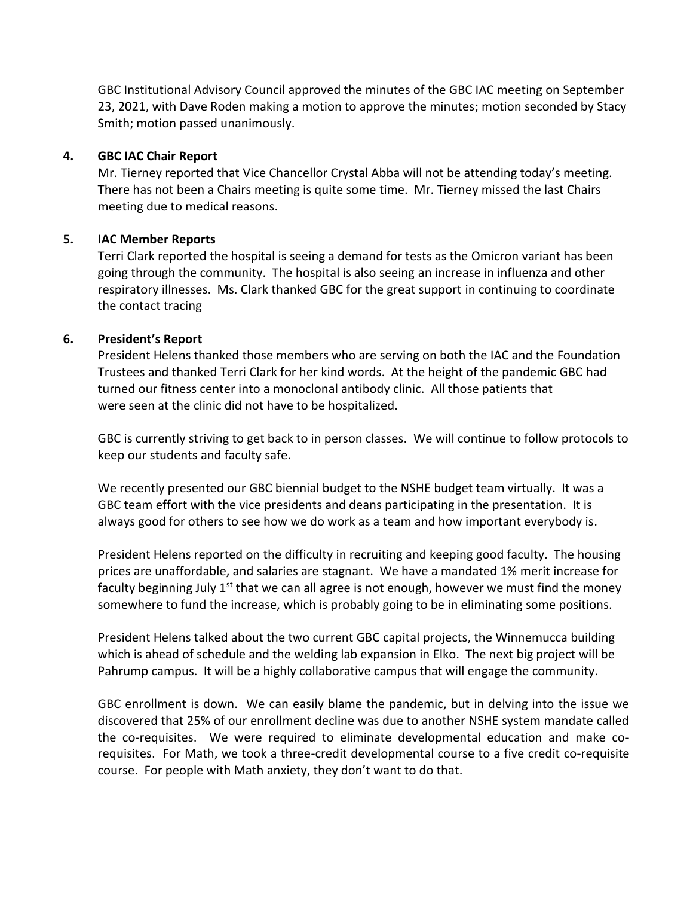GBC Institutional Advisory Council approved the minutes of the GBC IAC meeting on September 23, 2021, with Dave Roden making a motion to approve the minutes; motion seconded by Stacy Smith; motion passed unanimously.

## **4. GBC IAC Chair Report**

Mr. Tierney reported that Vice Chancellor Crystal Abba will not be attending today's meeting. There has not been a Chairs meeting is quite some time. Mr. Tierney missed the last Chairs meeting due to medical reasons.

## **5. IAC Member Reports**

Terri Clark reported the hospital is seeing a demand for tests as the Omicron variant has been going through the community. The hospital is also seeing an increase in influenza and other respiratory illnesses. Ms. Clark thanked GBC for the great support in continuing to coordinate the contact tracing

#### **6. President's Report**

President Helens thanked those members who are serving on both the IAC and the Foundation Trustees and thanked Terri Clark for her kind words. At the height of the pandemic GBC had turned our fitness center into a monoclonal antibody clinic. All those patients that were seen at the clinic did not have to be hospitalized.

GBC is currently striving to get back to in person classes. We will continue to follow protocols to keep our students and faculty safe.

We recently presented our GBC biennial budget to the NSHE budget team virtually. It was a GBC team effort with the vice presidents and deans participating in the presentation. It is always good for others to see how we do work as a team and how important everybody is.

President Helens reported on the difficulty in recruiting and keeping good faculty. The housing prices are unaffordable, and salaries are stagnant. We have a mandated 1% merit increase for faculty beginning July  $1<sup>st</sup>$  that we can all agree is not enough, however we must find the money somewhere to fund the increase, which is probably going to be in eliminating some positions.

President Helens talked about the two current GBC capital projects, the Winnemucca building which is ahead of schedule and the welding lab expansion in Elko. The next big project will be Pahrump campus. It will be a highly collaborative campus that will engage the community.

GBC enrollment is down. We can easily blame the pandemic, but in delving into the issue we discovered that 25% of our enrollment decline was due to another NSHE system mandate called the co-requisites. We were required to eliminate developmental education and make corequisites. For Math, we took a three-credit developmental course to a five credit co-requisite course. For people with Math anxiety, they don't want to do that.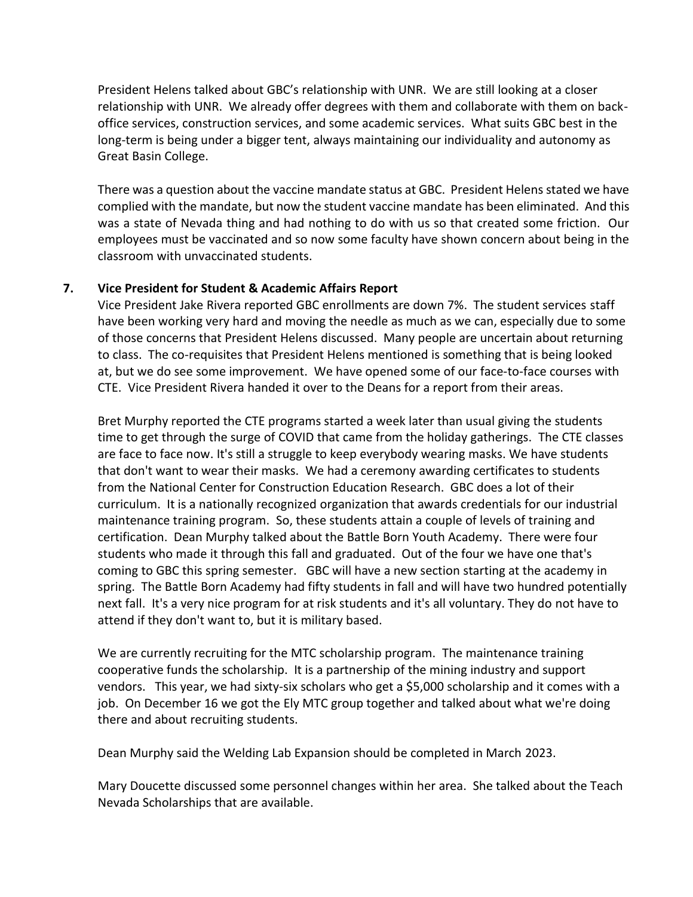President Helens talked about GBC's relationship with UNR. We are still looking at a closer relationship with UNR. We already offer degrees with them and collaborate with them on backoffice services, construction services, and some academic services. What suits GBC best in the long-term is being under a bigger tent, always maintaining our individuality and autonomy as Great Basin College.

There was a question about the vaccine mandate status at GBC. President Helens stated we have complied with the mandate, but now the student vaccine mandate has been eliminated. And this was a state of Nevada thing and had nothing to do with us so that created some friction. Our employees must be vaccinated and so now some faculty have shown concern about being in the classroom with unvaccinated students.

## **7. Vice President for Student & Academic Affairs Report**

Vice President Jake Rivera reported GBC enrollments are down 7%. The student services staff have been working very hard and moving the needle as much as we can, especially due to some of those concerns that President Helens discussed. Many people are uncertain about returning to class. The co-requisites that President Helens mentioned is something that is being looked at, but we do see some improvement. We have opened some of our face-to-face courses with CTE. Vice President Rivera handed it over to the Deans for a report from their areas.

Bret Murphy reported the CTE programs started a week later than usual giving the students time to get through the surge of COVID that came from the holiday gatherings. The CTE classes are face to face now. It's still a struggle to keep everybody wearing masks. We have students that don't want to wear their masks. We had a ceremony awarding certificates to students from the National Center for Construction Education Research. GBC does a lot of their curriculum. It is a nationally recognized organization that awards credentials for our industrial maintenance training program. So, these students attain a couple of levels of training and certification. Dean Murphy talked about the Battle Born Youth Academy. There were four students who made it through this fall and graduated. Out of the four we have one that's coming to GBC this spring semester. GBC will have a new section starting at the academy in spring. The Battle Born Academy had fifty students in fall and will have two hundred potentially next fall. It's a very nice program for at risk students and it's all voluntary. They do not have to attend if they don't want to, but it is military based.

We are currently recruiting for the MTC scholarship program. The maintenance training cooperative funds the scholarship. It is a partnership of the mining industry and support vendors. This year, we had sixty-six scholars who get a \$5,000 scholarship and it comes with a job. On December 16 we got the Ely MTC group together and talked about what we're doing there and about recruiting students.

Dean Murphy said the Welding Lab Expansion should be completed in March 2023.

Mary Doucette discussed some personnel changes within her area. She talked about the Teach Nevada Scholarships that are available.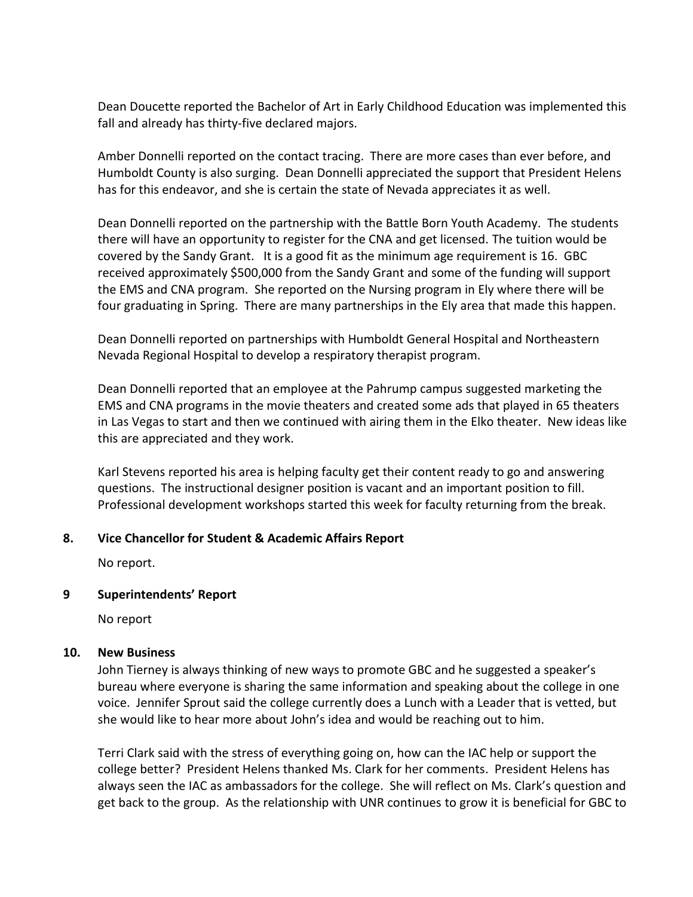Dean Doucette reported the Bachelor of Art in Early Childhood Education was implemented this fall and already has thirty-five declared majors.

Amber Donnelli reported on the contact tracing. There are more cases than ever before, and Humboldt County is also surging. Dean Donnelli appreciated the support that President Helens has for this endeavor, and she is certain the state of Nevada appreciates it as well.

Dean Donnelli reported on the partnership with the Battle Born Youth Academy. The students there will have an opportunity to register for the CNA and get licensed. The tuition would be covered by the Sandy Grant. It is a good fit as the minimum age requirement is 16. GBC received approximately \$500,000 from the Sandy Grant and some of the funding will support the EMS and CNA program. She reported on the Nursing program in Ely where there will be four graduating in Spring. There are many partnerships in the Ely area that made this happen.

Dean Donnelli reported on partnerships with Humboldt General Hospital and Northeastern Nevada Regional Hospital to develop a respiratory therapist program.

Dean Donnelli reported that an employee at the Pahrump campus suggested marketing the EMS and CNA programs in the movie theaters and created some ads that played in 65 theaters in Las Vegas to start and then we continued with airing them in the Elko theater. New ideas like this are appreciated and they work.

Karl Stevens reported his area is helping faculty get their content ready to go and answering questions. The instructional designer position is vacant and an important position to fill. Professional development workshops started this week for faculty returning from the break.

## **8. Vice Chancellor for Student & Academic Affairs Report**

No report.

## **9 Superintendents' Report**

No report

## **10. New Business**

John Tierney is always thinking of new ways to promote GBC and he suggested a speaker's bureau where everyone is sharing the same information and speaking about the college in one voice. Jennifer Sprout said the college currently does a Lunch with a Leader that is vetted, but she would like to hear more about John's idea and would be reaching out to him.

Terri Clark said with the stress of everything going on, how can the IAC help or support the college better? President Helens thanked Ms. Clark for her comments. President Helens has always seen the IAC as ambassadors for the college. She will reflect on Ms. Clark's question and get back to the group. As the relationship with UNR continues to grow it is beneficial for GBC to